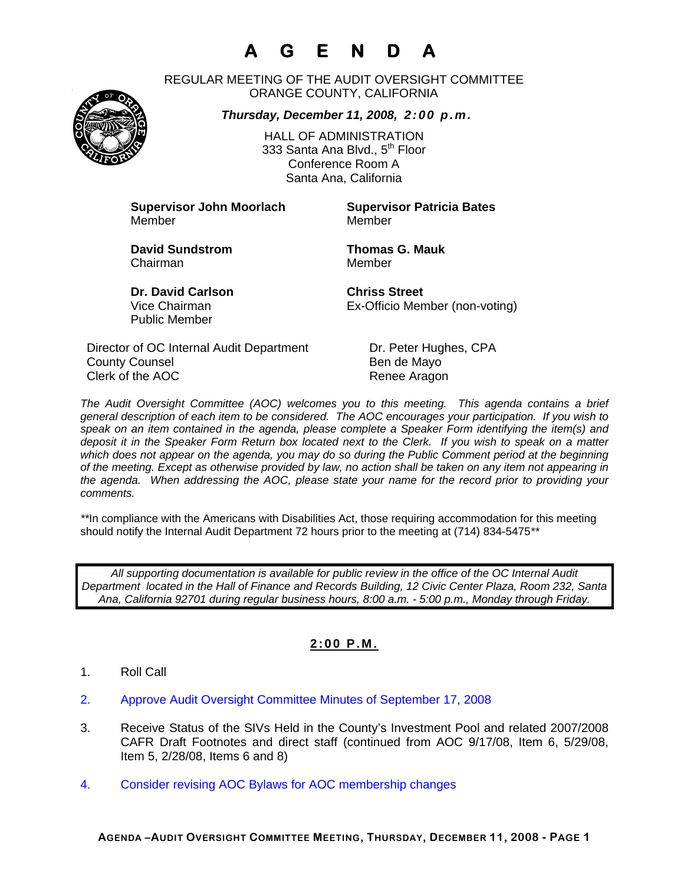# **A G E N D A**

REGULAR MEETING OF THE AUDIT OVERSIGHT COMMITTEE ORANGE COUNTY, CALIFORNIA

*Thursday, December 11, 2008, 2:00 p.m.*



HALL OF ADMINISTRATION 333 Santa Ana Blvd., 5<sup>th</sup> Floor Conference Room A Santa Ana, California

**Supervisor John Moorlach Supervisor Patricia Bates** Member Member

Chairman Member

**David Sundstrom Thomas G. Mauk** 

**Dr. David Carlson Chriss Street** Public Member

Vice Chairman Ex-Officio Member (non-voting)

Director of OC Internal Audit Department Dr. Peter Hughes, CPA County Counsel **Bende Mayo** Clerk of the AOC Renee Aragon

*The Audit Oversight Committee (AOC) welcomes you to this meeting. This agenda contains a brief general description of each item to be considered. The AOC encourages your participation. If you wish to speak on an item contained in the agenda, please complete a Speaker Form identifying the item(s) and deposit it in the Speaker Form Return box located next to the Clerk. If you wish to speak on a matter which does not appear on the agenda, you may do so during the Public Comment period at the beginning of the meeting. Except as otherwise provided by law, no action shall be taken on any item not appearing in the agenda. When addressing the AOC, please state your name for the record prior to providing your comments.* 

*\*\**In compliance with the Americans with Disabilities Act, those requiring accommodation for this meeting should notify the Internal Audit Department 72 hours prior to the meeting at (714) 834-5475*\*\** 

*All supporting documentation is available for public review in the office of the OC Internal Audit Department located in the Hall of Finance and Records Building, 12 Civic Center Plaza, Room 232, Santa Ana, California 92701 during regular business hours, 8:00 a.m. - 5:00 p.m., Monday through Friday.* 

### **2:00 P.M.**

- 1. Roll Call
- 2. Approve Audit Oversight Committee Minutes of September 17, 2008
- 3. Receive Status of the SIVs Held in the County's Investment Pool and related 2007/2008 CAFR Draft Footnotes and direct staff (continued from AOC 9/17/08, Item 6, 5/29/08, Item 5, 2/28/08, Items 6 and 8)
- 4. Consider revising AOC Bylaws for AOC membership changes